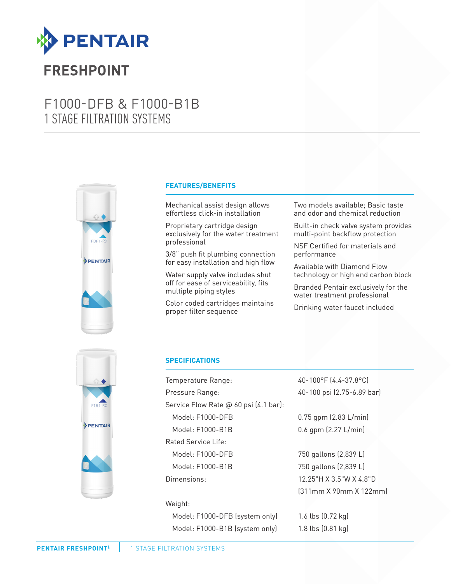

## **FRESHPOINT**

### F1000-DFB & F1000-B1B 1 STAGE FILTRATION SYSTEMS



#### **FEATURES/BENEFITS**

Mechanical assist design allows effortless click-in installation

Proprietary cartridge design exclusively for the water treatment professional

3/8" push fit plumbing connection for easy installation and high flow

Water supply valve includes shut off for ease of serviceability, fits multiple piping styles

Color coded cartridges maintains proper filter sequence

Two models available; Basic taste and odor and chemical reduction

Built-in check valve system provides multi-point backflow protection

NSF Certified for materials and performance

Available with Diamond Flow technology or high end carbon block

Branded Pentair exclusively for the water treatment professional

Drinking water faucet included



### **SPECIFICATIONS**

Temperature Range: 40-100°F (4.4-37.8°C) Pressure Range: 40-100 psi (2.75-6.89 bar) Service Flow Rate @ 60 psi (4.1 bar): Model: F1000-DFB 0.75 gpm (2.83 L/min) Model: F1000-B1B 0.6 gpm (2.27 L/min) Rated Service Life: Model: F1000-DFB 750 gallons (2,839 L) Model: F1000-B1B 750 gallons (2,839 L) Dimensions: 12.25"H X 3.5"W X 4.8"D

#### Weight:

Model: F1000-DFB (system only) 1.6 lbs (0.72 kg) Model: F1000-B1B (system only) 1.8 lbs (0.81 kg)

(311mm X 90mm X 122mm)